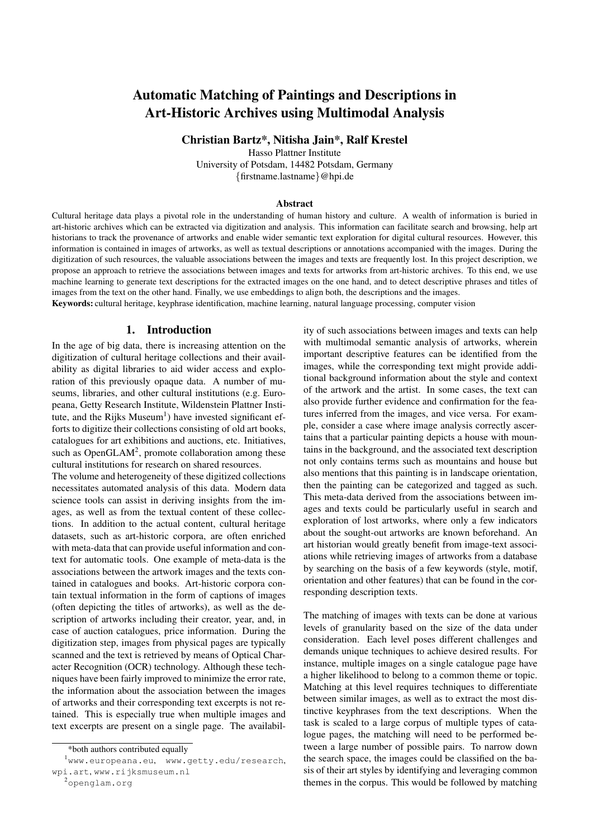# Automatic Matching of Paintings and Descriptions in Art-Historic Archives using Multimodal Analysis

Christian Bartz\*, Nitisha Jain\*, Ralf Krestel

Hasso Plattner Institute

University of Potsdam, 14482 Potsdam, Germany {firstname.lastname}@hpi.de

#### Abstract

Cultural heritage data plays a pivotal role in the understanding of human history and culture. A wealth of information is buried in art-historic archives which can be extracted via digitization and analysis. This information can facilitate search and browsing, help art historians to track the provenance of artworks and enable wider semantic text exploration for digital cultural resources. However, this information is contained in images of artworks, as well as textual descriptions or annotations accompanied with the images. During the digitization of such resources, the valuable associations between the images and texts are frequently lost. In this project description, we propose an approach to retrieve the associations between images and texts for artworks from art-historic archives. To this end, we use machine learning to generate text descriptions for the extracted images on the one hand, and to detect descriptive phrases and titles of images from the text on the other hand. Finally, we use embeddings to align both, the descriptions and the images.

Keywords: cultural heritage, keyphrase identification, machine learning, natural language processing, computer vision

#### 1. Introduction

In the age of big data, there is increasing attention on the digitization of cultural heritage collections and their availability as digital libraries to aid wider access and exploration of this previously opaque data. A number of museums, libraries, and other cultural institutions (e.g. Europeana, Getty Research Institute, Wildenstein Plattner Insti-tute, and the Rijks Museum<sup>[1](#page-0-0)</sup>) have invested significant efforts to digitize their collections consisting of old art books, catalogues for art exhibitions and auctions, etc. Initiatives, such as OpenGLA $M^2$  $M^2$ , promote collaboration among these cultural institutions for research on shared resources.

The volume and heterogeneity of these digitized collections necessitates automated analysis of this data. Modern data science tools can assist in deriving insights from the images, as well as from the textual content of these collections. In addition to the actual content, cultural heritage datasets, such as art-historic corpora, are often enriched with meta-data that can provide useful information and context for automatic tools. One example of meta-data is the associations between the artwork images and the texts contained in catalogues and books. Art-historic corpora contain textual information in the form of captions of images (often depicting the titles of artworks), as well as the description of artworks including their creator, year, and, in case of auction catalogues, price information. During the digitization step, images from physical pages are typically scanned and the text is retrieved by means of Optical Character Recognition (OCR) technology. Although these techniques have been fairly improved to minimize the error rate, the information about the association between the images of artworks and their corresponding text excerpts is not retained. This is especially true when multiple images and text excerpts are present on a single page. The availability of such associations between images and texts can help with multimodal semantic analysis of artworks, wherein important descriptive features can be identified from the images, while the corresponding text might provide additional background information about the style and context of the artwork and the artist. In some cases, the text can also provide further evidence and confirmation for the features inferred from the images, and vice versa. For example, consider a case where image analysis correctly ascertains that a particular painting depicts a house with mountains in the background, and the associated text description not only contains terms such as mountains and house but also mentions that this painting is in landscape orientation, then the painting can be categorized and tagged as such. This meta-data derived from the associations between images and texts could be particularly useful in search and exploration of lost artworks, where only a few indicators about the sought-out artworks are known beforehand. An art historian would greatly benefit from image-text associations while retrieving images of artworks from a database by searching on the basis of a few keywords (style, motif, orientation and other features) that can be found in the corresponding description texts.

The matching of images with texts can be done at various levels of granularity based on the size of the data under consideration. Each level poses different challenges and demands unique techniques to achieve desired results. For instance, multiple images on a single catalogue page have a higher likelihood to belong to a common theme or topic. Matching at this level requires techniques to differentiate between similar images, as well as to extract the most distinctive keyphrases from the text descriptions. When the task is scaled to a large corpus of multiple types of catalogue pages, the matching will need to be performed between a large number of possible pairs. To narrow down the search space, the images could be classified on the basis of their art styles by identifying and leveraging common themes in the corpus. This would be followed by matching

<span id="page-0-0"></span><sup>\*</sup>both authors contributed equally

<sup>1</sup><www.europeana.eu>, <www.getty.edu/research>, <wpi.art>, <www.rijksmuseum.nl>

<span id="page-0-1"></span><sup>2</sup><openglam.org>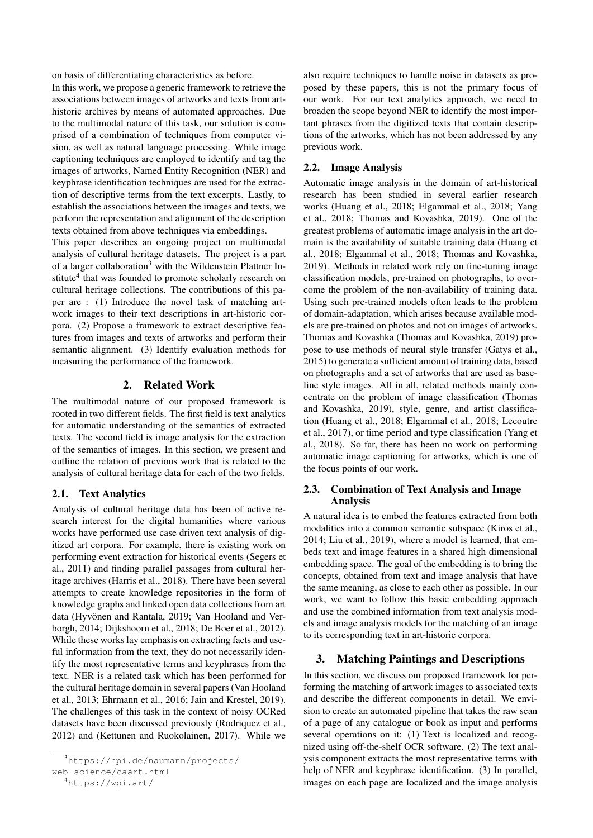on basis of differentiating characteristics as before.

In this work, we propose a generic framework to retrieve the associations between images of artworks and texts from arthistoric archives by means of automated approaches. Due to the multimodal nature of this task, our solution is comprised of a combination of techniques from computer vision, as well as natural language processing. While image captioning techniques are employed to identify and tag the images of artworks, Named Entity Recognition (NER) and keyphrase identification techniques are used for the extraction of descriptive terms from the text excerpts. Lastly, to establish the associations between the images and texts, we perform the representation and alignment of the description texts obtained from above techniques via embeddings.

This paper describes an ongoing project on multimodal analysis of cultural heritage datasets. The project is a part of a larger collaboration<sup>[3](#page-1-0)</sup> with the Wildenstein Plattner In-stitute<sup>[4](#page-1-1)</sup> that was founded to promote scholarly research on cultural heritage collections. The contributions of this paper are : (1) Introduce the novel task of matching artwork images to their text descriptions in art-historic corpora. (2) Propose a framework to extract descriptive features from images and texts of artworks and perform their semantic alignment. (3) Identify evaluation methods for measuring the performance of the framework.

# 2. Related Work

The multimodal nature of our proposed framework is rooted in two different fields. The first field is text analytics for automatic understanding of the semantics of extracted texts. The second field is image analysis for the extraction of the semantics of images. In this section, we present and outline the relation of previous work that is related to the analysis of cultural heritage data for each of the two fields.

#### 2.1. Text Analytics

Analysis of cultural heritage data has been of active research interest for the digital humanities where various works have performed use case driven text analysis of digitized art corpora. For example, there is existing work on performing event extraction for historical events [\(Segers et](#page-4-0) [al., 2011\)](#page-4-0) and finding parallel passages from cultural heritage archives [\(Harris et al., 2018\)](#page-4-1). There have been several attempts to create knowledge repositories in the form of knowledge graphs and linked open data collections from art data (Hyvönen and Rantala, 2019; [Van Hooland and Ver](#page-5-0) [borgh, 2014;](#page-5-0) [Dijkshoorn et al., 2018;](#page-4-3) [De Boer et al., 2012\)](#page-4-4). While these works lay emphasis on extracting facts and useful information from the text, they do not necessarily identify the most representative terms and keyphrases from the text. NER is a related task which has been performed for the cultural heritage domain in several papers [\(Van Hooland](#page-5-1) [et al., 2013;](#page-5-1) [Ehrmann et al., 2016;](#page-4-5) [Jain and Krestel, 2019\)](#page-4-6). The challenges of this task in the context of noisy OCRed datasets have been discussed previously [\(Rodriquez et al.,](#page-4-7) [2012\)](#page-4-7) and [\(Kettunen and Ruokolainen, 2017\)](#page-4-8). While we

<span id="page-1-0"></span><sup>3</sup>[https://hpi.de/naumann/projects/](https://hpi.de/naumann/projects/web-science/caart.html)

[web-science/caart.html](https://hpi.de/naumann/projects/web-science/caart.html)

also require techniques to handle noise in datasets as proposed by these papers, this is not the primary focus of our work. For our text analytics approach, we need to broaden the scope beyond NER to identify the most important phrases from the digitized texts that contain descriptions of the artworks, which has not been addressed by any previous work.

#### 2.2. Image Analysis

Automatic image analysis in the domain of art-historical research has been studied in several earlier research works [\(Huang et al., 2018;](#page-4-9) [Elgammal et al., 2018;](#page-4-10) [Yang](#page-5-2) [et al., 2018;](#page-5-2) [Thomas and Kovashka, 2019\)](#page-5-3). One of the greatest problems of automatic image analysis in the art domain is the availability of suitable training data [\(Huang et](#page-4-9) [al., 2018;](#page-4-9) [Elgammal et al., 2018;](#page-4-10) [Thomas and Kovashka,](#page-5-3) [2019\)](#page-5-3). Methods in related work rely on fine-tuning image classification models, pre-trained on photographs, to overcome the problem of the non-availability of training data. Using such pre-trained models often leads to the problem of domain-adaptation, which arises because available models are pre-trained on photos and not on images of artworks. Thomas and Kovashka [\(Thomas and Kovashka, 2019\)](#page-5-3) propose to use methods of neural style transfer [\(Gatys et al.,](#page-4-11) [2015\)](#page-4-11) to generate a sufficient amount of training data, based on photographs and a set of artworks that are used as baseline style images. All in all, related methods mainly concentrate on the problem of image classification [\(Thomas](#page-5-3) [and Kovashka, 2019\)](#page-5-3), style, genre, and artist classification [\(Huang et al., 2018;](#page-4-9) [Elgammal et al., 2018;](#page-4-10) [Lecoutre](#page-4-12) [et al., 2017\)](#page-4-12), or time period and type classification [\(Yang et](#page-5-2) [al., 2018\)](#page-5-2). So far, there has been no work on performing automatic image captioning for artworks, which is one of the focus points of our work.

# 2.3. Combination of Text Analysis and Image Analysis

A natural idea is to embed the features extracted from both modalities into a common semantic subspace [\(Kiros et al.,](#page-4-13) [2014;](#page-4-13) [Liu et al., 2019\)](#page-4-14), where a model is learned, that embeds text and image features in a shared high dimensional embedding space. The goal of the embedding is to bring the concepts, obtained from text and image analysis that have the same meaning, as close to each other as possible. In our work, we want to follow this basic embedding approach and use the combined information from text analysis models and image analysis models for the matching of an image to its corresponding text in art-historic corpora.

#### 3. Matching Paintings and Descriptions

In this section, we discuss our proposed framework for performing the matching of artwork images to associated texts and describe the different components in detail. We envision to create an automated pipeline that takes the raw scan of a page of any catalogue or book as input and performs several operations on it: (1) Text is localized and recognized using off-the-shelf OCR software. (2) The text analysis component extracts the most representative terms with help of NER and keyphrase identification. (3) In parallel, images on each page are localized and the image analysis

<span id="page-1-1"></span><sup>4</sup><https://wpi.art/>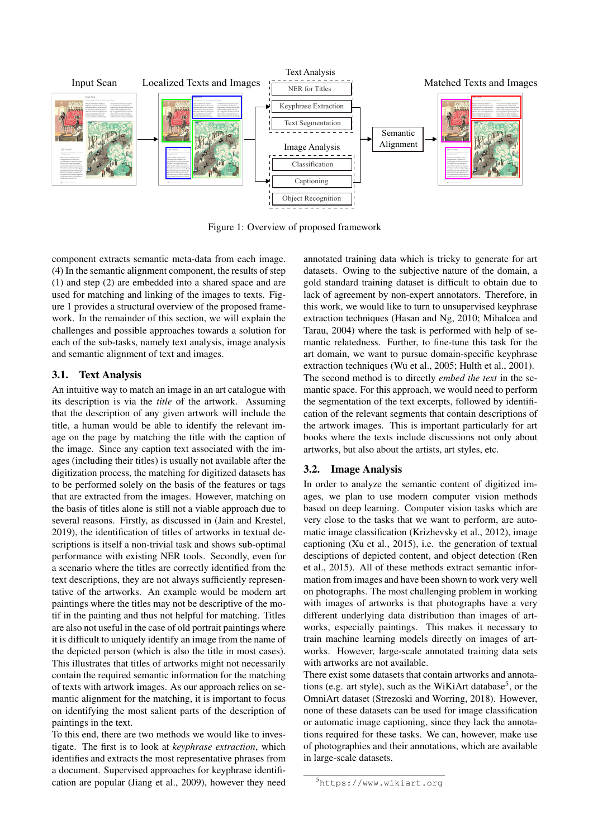

<span id="page-2-0"></span>Figure 1: Overview of proposed framework

component extracts semantic meta-data from each image. (4) In the semantic alignment component, the results of step (1) and step (2) are embedded into a shared space and are used for matching and linking of the images to texts. Figure [1](#page-2-0) provides a structural overview of the proposed framework. In the remainder of this section, we will explain the challenges and possible approaches towards a solution for each of the sub-tasks, namely text analysis, image analysis and semantic alignment of text and images.

# <span id="page-2-2"></span>3.1. Text Analysis

An intuitive way to match an image in an art catalogue with its description is via the *title* of the artwork. Assuming that the description of any given artwork will include the title, a human would be able to identify the relevant image on the page by matching the title with the caption of the image. Since any caption text associated with the images (including their titles) is usually not available after the digitization process, the matching for digitized datasets has to be performed solely on the basis of the features or tags that are extracted from the images. However, matching on the basis of titles alone is still not a viable approach due to several reasons. Firstly, as discussed in [\(Jain and Krestel,](#page-4-6) [2019\)](#page-4-6), the identification of titles of artworks in textual descriptions is itself a non-trivial task and shows sub-optimal performance with existing NER tools. Secondly, even for a scenario where the titles are correctly identified from the text descriptions, they are not always sufficiently representative of the artworks. An example would be modern art paintings where the titles may not be descriptive of the motif in the painting and thus not helpful for matching. Titles are also not useful in the case of old portrait paintings where it is difficult to uniquely identify an image from the name of the depicted person (which is also the title in most cases). This illustrates that titles of artworks might not necessarily contain the required semantic information for the matching of texts with artwork images. As our approach relies on semantic alignment for the matching, it is important to focus on identifying the most salient parts of the description of paintings in the text.

To this end, there are two methods we would like to investigate. The first is to look at *keyphrase extraction*, which identifies and extracts the most representative phrases from a document. Supervised approaches for keyphrase identification are popular [\(Jiang et al., 2009\)](#page-4-15), however they need annotated training data which is tricky to generate for art datasets. Owing to the subjective nature of the domain, a gold standard training dataset is difficult to obtain due to lack of agreement by non-expert annotators. Therefore, in this work, we would like to turn to unsupervised keyphrase extraction techniques [\(Hasan and Ng, 2010;](#page-4-16) [Mihalcea and](#page-4-17) [Tarau, 2004\)](#page-4-17) where the task is performed with help of semantic relatedness. Further, to fine-tune this task for the art domain, we want to pursue domain-specific keyphrase extraction techniques [\(Wu et al., 2005;](#page-5-4) [Hulth et al., 2001\)](#page-4-18). The second method is to directly *embed the text* in the semantic space. For this approach, we would need to perform the segmentation of the text excerpts, followed by identification of the relevant segments that contain descriptions of the artwork images. This is important particularly for art books where the texts include discussions not only about artworks, but also about the artists, art styles, etc.

# <span id="page-2-3"></span>3.2. Image Analysis

In order to analyze the semantic content of digitized images, we plan to use modern computer vision methods based on deep learning. Computer vision tasks which are very close to the tasks that we want to perform, are automatic image classification [\(Krizhevsky et al., 2012\)](#page-4-19), image captioning [\(Xu et al., 2015\)](#page-5-5), i.e. the generation of textual desciptions of depicted content, and object detection [\(Ren](#page-4-20) [et al., 2015\)](#page-4-20). All of these methods extract semantic information from images and have been shown to work very well on photographs. The most challenging problem in working with images of artworks is that photographs have a very different underlying data distribution than images of artworks, especially paintings. This makes it necessary to train machine learning models directly on images of artworks. However, large-scale annotated training data sets with artworks are not available.

There exist some datasets that contain artworks and annota-tions (e.g. art style), such as the WiKiArt database<sup>[5](#page-2-1)</sup>, or the OmniArt dataset [\(Strezoski and Worring, 2018\)](#page-4-21). However, none of these datasets can be used for image classification or automatic image captioning, since they lack the annotations required for these tasks. We can, however, make use of photographies and their annotations, which are available in large-scale datasets.

<span id="page-2-1"></span><sup>5</sup><https://www.wikiart.org>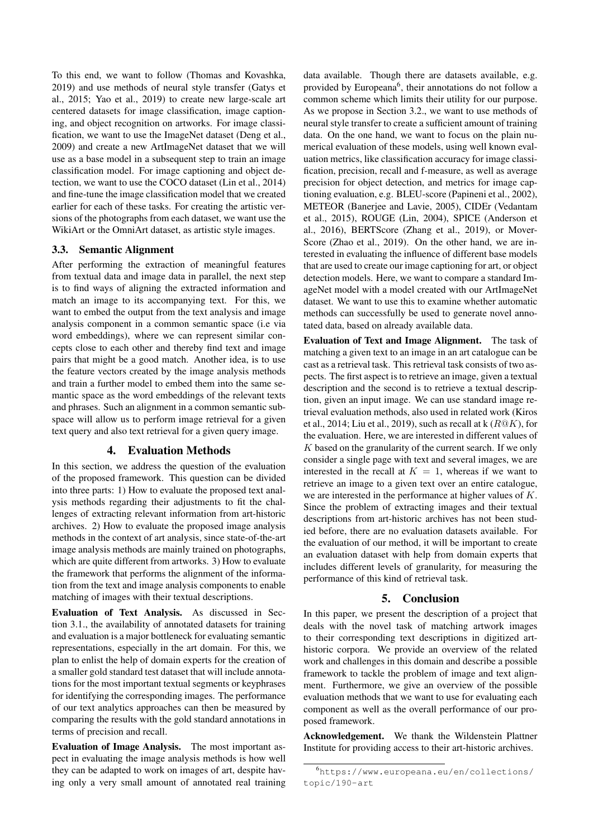To this end, we want to follow [\(Thomas and Kovashka,](#page-5-3) [2019\)](#page-5-3) and use methods of neural style transfer [\(Gatys et](#page-4-11) [al., 2015;](#page-4-11) [Yao et al., 2019\)](#page-5-6) to create new large-scale art centered datasets for image classification, image captioning, and object recognition on artworks. For image classification, we want to use the ImageNet dataset [\(Deng et al.,](#page-4-22) [2009\)](#page-4-22) and create a new ArtImageNet dataset that we will use as a base model in a subsequent step to train an image classification model. For image captioning and object detection, we want to use the COCO dataset [\(Lin et al., 2014\)](#page-4-23) and fine-tune the image classification model that we created earlier for each of these tasks. For creating the artistic versions of the photographs from each dataset, we want use the WikiArt or the OmniArt dataset, as artistic style images.

# 3.3. Semantic Alignment

After performing the extraction of meaningful features from textual data and image data in parallel, the next step is to find ways of aligning the extracted information and match an image to its accompanying text. For this, we want to embed the output from the text analysis and image analysis component in a common semantic space (i.e via word embeddings), where we can represent similar concepts close to each other and thereby find text and image pairs that might be a good match. Another idea, is to use the feature vectors created by the image analysis methods and train a further model to embed them into the same semantic space as the word embeddings of the relevant texts and phrases. Such an alignment in a common semantic subspace will allow us to perform image retrieval for a given text query and also text retrieval for a given query image.

# 4. Evaluation Methods

In this section, we address the question of the evaluation of the proposed framework. This question can be divided into three parts: 1) How to evaluate the proposed text analysis methods regarding their adjustments to fit the challenges of extracting relevant information from art-historic archives. 2) How to evaluate the proposed image analysis methods in the context of art analysis, since state-of-the-art image analysis methods are mainly trained on photographs, which are quite different from artworks. 3) How to evaluate the framework that performs the alignment of the information from the text and image analysis components to enable matching of images with their textual descriptions.

Evaluation of Text Analysis. As discussed in [Sec](#page-2-2)[tion 3.1.,](#page-2-2) the availability of annotated datasets for training and evaluation is a major bottleneck for evaluating semantic representations, especially in the art domain. For this, we plan to enlist the help of domain experts for the creation of a smaller gold standard test dataset that will include annotations for the most important textual segments or keyphrases for identifying the corresponding images. The performance of our text analytics approaches can then be measured by comparing the results with the gold standard annotations in terms of precision and recall.

Evaluation of Image Analysis. The most important aspect in evaluating the image analysis methods is how well they can be adapted to work on images of art, despite having only a very small amount of annotated real training data available. Though there are datasets available, e.g. provided by Europeana<sup>[6](#page-3-0)</sup>, their annotations do not follow a common scheme which limits their utility for our purpose. As we propose in [Section 3.2.,](#page-2-3) we want to use methods of neural style transfer to create a sufficient amount of training data. On the one hand, we want to focus on the plain numerical evaluation of these models, using well known evaluation metrics, like classification accuracy for image classification, precision, recall and f-measure, as well as average precision for object detection, and metrics for image captioning evaluation, e.g. BLEU-score [\(Papineni et al., 2002\)](#page-4-24), METEOR [\(Banerjee and Lavie, 2005\)](#page-4-25), CIDEr [\(Vedantam](#page-5-7) [et al., 2015\)](#page-5-7), ROUGE [\(Lin, 2004\)](#page-4-26), SPICE [\(Anderson et](#page-4-27) [al., 2016\)](#page-4-27), BERTScore [\(Zhang et al., 2019\)](#page-5-8), or Mover-Score [\(Zhao et al., 2019\)](#page-5-9). On the other hand, we are interested in evaluating the influence of different base models that are used to create our image captioning for art, or object detection models. Here, we want to compare a standard ImageNet model with a model created with our ArtImageNet dataset. We want to use this to examine whether automatic methods can successfully be used to generate novel annotated data, based on already available data.

Evaluation of Text and Image Alignment. The task of matching a given text to an image in an art catalogue can be cast as a retrieval task. This retrieval task consists of two aspects. The first aspect is to retrieve an image, given a textual description and the second is to retrieve a textual description, given an input image. We can use standard image retrieval evaluation methods, also used in related work [\(Kiros](#page-4-13) [et al., 2014;](#page-4-13) [Liu et al., 2019\)](#page-4-14), such as recall at  $k(R@K)$ , for the evaluation. Here, we are interested in different values of  $K$  based on the granularity of the current search. If we only consider a single page with text and several images, we are interested in the recall at  $K = 1$ , whereas if we want to retrieve an image to a given text over an entire catalogue, we are interested in the performance at higher values of K. Since the problem of extracting images and their textual descriptions from art-historic archives has not been studied before, there are no evaluation datasets available. For the evaluation of our method, it will be important to create an evaluation dataset with help from domain experts that includes different levels of granularity, for measuring the performance of this kind of retrieval task.

#### 5. Conclusion

In this paper, we present the description of a project that deals with the novel task of matching artwork images to their corresponding text descriptions in digitized arthistoric corpora. We provide an overview of the related work and challenges in this domain and describe a possible framework to tackle the problem of image and text alignment. Furthermore, we give an overview of the possible evaluation methods that we want to use for evaluating each component as well as the overall performance of our proposed framework.

Acknowledgement. We thank the Wildenstein Plattner Institute for providing access to their art-historic archives.

<span id="page-3-0"></span><sup>6</sup>[https://www.europeana.eu/en/collections/](https://www.europeana.eu/en/collections/topic/190-art) [topic/190-art](https://www.europeana.eu/en/collections/topic/190-art)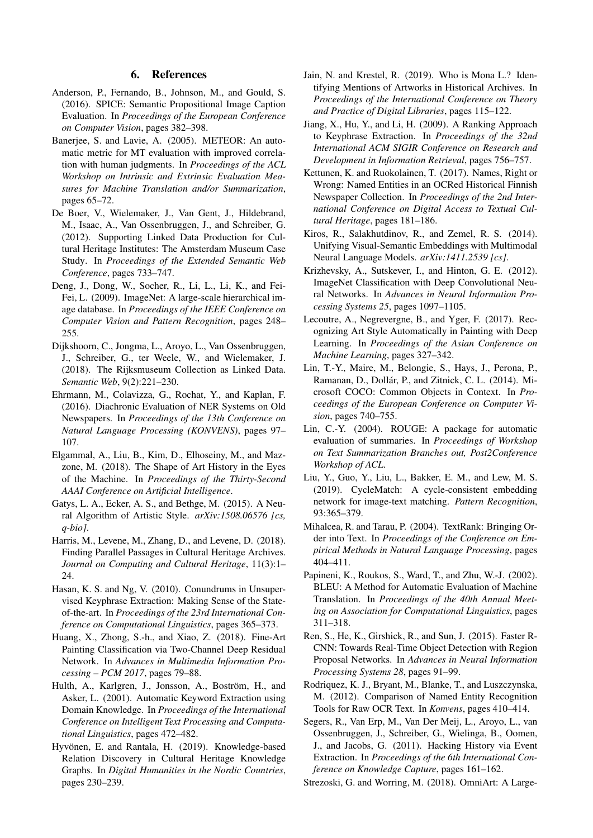#### 6. References

- <span id="page-4-27"></span>Anderson, P., Fernando, B., Johnson, M., and Gould, S. (2016). SPICE: Semantic Propositional Image Caption Evaluation. In *Proceedings of the European Conference on Computer Vision*, pages 382–398.
- <span id="page-4-25"></span>Banerjee, S. and Lavie, A. (2005). METEOR: An automatic metric for MT evaluation with improved correlation with human judgments. In *Proceedings of the ACL Workshop on Intrinsic and Extrinsic Evaluation Measures for Machine Translation and/or Summarization*, pages 65–72.
- <span id="page-4-4"></span>De Boer, V., Wielemaker, J., Van Gent, J., Hildebrand, M., Isaac, A., Van Ossenbruggen, J., and Schreiber, G. (2012). Supporting Linked Data Production for Cultural Heritage Institutes: The Amsterdam Museum Case Study. In *Proceedings of the Extended Semantic Web Conference*, pages 733–747.
- <span id="page-4-22"></span>Deng, J., Dong, W., Socher, R., Li, L., Li, K., and Fei-Fei, L. (2009). ImageNet: A large-scale hierarchical image database. In *Proceedings of the IEEE Conference on Computer Vision and Pattern Recognition*, pages 248– 255.
- <span id="page-4-3"></span>Dijkshoorn, C., Jongma, L., Aroyo, L., Van Ossenbruggen, J., Schreiber, G., ter Weele, W., and Wielemaker, J. (2018). The Rijksmuseum Collection as Linked Data. *Semantic Web*, 9(2):221–230.
- <span id="page-4-5"></span>Ehrmann, M., Colavizza, G., Rochat, Y., and Kaplan, F. (2016). Diachronic Evaluation of NER Systems on Old Newspapers. In *Proceedings of the 13th Conference on Natural Language Processing (KONVENS)*, pages 97– 107.
- <span id="page-4-10"></span>Elgammal, A., Liu, B., Kim, D., Elhoseiny, M., and Mazzone, M. (2018). The Shape of Art History in the Eyes of the Machine. In *Proceedings of the Thirty-Second AAAI Conference on Artificial Intelligence*.
- <span id="page-4-11"></span>Gatys, L. A., Ecker, A. S., and Bethge, M. (2015). A Neural Algorithm of Artistic Style. *arXiv:1508.06576 [cs, q-bio]*.
- <span id="page-4-1"></span>Harris, M., Levene, M., Zhang, D., and Levene, D. (2018). Finding Parallel Passages in Cultural Heritage Archives. *Journal on Computing and Cultural Heritage*, 11(3):1– 24.
- <span id="page-4-16"></span>Hasan, K. S. and Ng, V. (2010). Conundrums in Unsupervised Keyphrase Extraction: Making Sense of the Stateof-the-art. In *Proceedings of the 23rd International Conference on Computational Linguistics*, pages 365–373.
- <span id="page-4-9"></span>Huang, X., Zhong, S.-h., and Xiao, Z. (2018). Fine-Art Painting Classification via Two-Channel Deep Residual Network. In *Advances in Multimedia Information Processing – PCM 2017*, pages 79–88.
- <span id="page-4-18"></span>Hulth, A., Karlgren, J., Jonsson, A., Boström, H., and Asker, L. (2001). Automatic Keyword Extraction using Domain Knowledge. In *Proceedings of the International Conference on Intelligent Text Processing and Computational Linguistics*, pages 472–482.
- <span id="page-4-2"></span>Hyvönen, E. and Rantala, H. (2019). Knowledge-based Relation Discovery in Cultural Heritage Knowledge Graphs. In *Digital Humanities in the Nordic Countries*, pages 230–239.
- <span id="page-4-6"></span>Jain, N. and Krestel, R. (2019). Who is Mona L.? Identifying Mentions of Artworks in Historical Archives. In *Proceedings of the International Conference on Theory and Practice of Digital Libraries*, pages 115–122.
- <span id="page-4-15"></span>Jiang, X., Hu, Y., and Li, H. (2009). A Ranking Approach to Keyphrase Extraction. In *Proceedings of the 32nd International ACM SIGIR Conference on Research and Development in Information Retrieval*, pages 756–757.
- <span id="page-4-8"></span>Kettunen, K. and Ruokolainen, T. (2017). Names, Right or Wrong: Named Entities in an OCRed Historical Finnish Newspaper Collection. In *Proceedings of the 2nd International Conference on Digital Access to Textual Cultural Heritage*, pages 181–186.
- <span id="page-4-13"></span>Kiros, R., Salakhutdinov, R., and Zemel, R. S. (2014). Unifying Visual-Semantic Embeddings with Multimodal Neural Language Models. *arXiv:1411.2539 [cs]*.
- <span id="page-4-19"></span>Krizhevsky, A., Sutskever, I., and Hinton, G. E. (2012). ImageNet Classification with Deep Convolutional Neural Networks. In *Advances in Neural Information Processing Systems 25*, pages 1097–1105.
- <span id="page-4-12"></span>Lecoutre, A., Negrevergne, B., and Yger, F. (2017). Recognizing Art Style Automatically in Painting with Deep Learning. In *Proceedings of the Asian Conference on Machine Learning*, pages 327–342.
- <span id="page-4-23"></span>Lin, T.-Y., Maire, M., Belongie, S., Hays, J., Perona, P., Ramanan, D., Dollár, P., and Zitnick, C. L. (2014). Microsoft COCO: Common Objects in Context. In *Proceedings of the European Conference on Computer Vision*, pages 740–755.
- <span id="page-4-26"></span>Lin, C.-Y. (2004). ROUGE: A package for automatic evaluation of summaries. In *Proceedings of Workshop on Text Summarization Branches out, Post2Conference Workshop of ACL*.
- <span id="page-4-14"></span>Liu, Y., Guo, Y., Liu, L., Bakker, E. M., and Lew, M. S. (2019). CycleMatch: A cycle-consistent embedding network for image-text matching. *Pattern Recognition*, 93:365–379.
- <span id="page-4-17"></span>Mihalcea, R. and Tarau, P. (2004). TextRank: Bringing Order into Text. In *Proceedings of the Conference on Empirical Methods in Natural Language Processing*, pages 404–411.
- <span id="page-4-24"></span>Papineni, K., Roukos, S., Ward, T., and Zhu, W.-J. (2002). BLEU: A Method for Automatic Evaluation of Machine Translation. In *Proceedings of the 40th Annual Meeting on Association for Computational Linguistics*, pages 311–318.
- <span id="page-4-20"></span>Ren, S., He, K., Girshick, R., and Sun, J. (2015). Faster R-CNN: Towards Real-Time Object Detection with Region Proposal Networks. In *Advances in Neural Information Processing Systems 28*, pages 91–99.
- <span id="page-4-7"></span>Rodriquez, K. J., Bryant, M., Blanke, T., and Luszczynska, M. (2012). Comparison of Named Entity Recognition Tools for Raw OCR Text. In *Konvens*, pages 410–414.
- <span id="page-4-0"></span>Segers, R., Van Erp, M., Van Der Meij, L., Aroyo, L., van Ossenbruggen, J., Schreiber, G., Wielinga, B., Oomen, J., and Jacobs, G. (2011). Hacking History via Event Extraction. In *Proceedings of the 6th International Conference on Knowledge Capture*, pages 161–162.
- <span id="page-4-21"></span>Strezoski, G. and Worring, M. (2018). OmniArt: A Large-